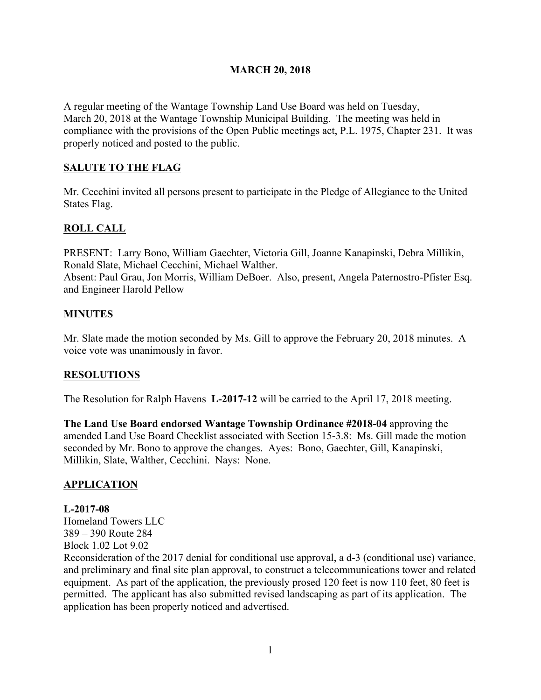#### **MARCH 20, 2018**

A regular meeting of the Wantage Township Land Use Board was held on Tuesday, March 20, 2018 at the Wantage Township Municipal Building. The meeting was held in compliance with the provisions of the Open Public meetings act, P.L. 1975, Chapter 231. It was properly noticed and posted to the public.

## **SALUTE TO THE FLAG**

Mr. Cecchini invited all persons present to participate in the Pledge of Allegiance to the United States Flag.

# **ROLL CALL**

PRESENT: Larry Bono, William Gaechter, Victoria Gill, Joanne Kanapinski, Debra Millikin, Ronald Slate, Michael Cecchini, Michael Walther. Absent: Paul Grau, Jon Morris, William DeBoer. Also, present, Angela Paternostro-Pfister Esq. and Engineer Harold Pellow

## **MINUTES**

Mr. Slate made the motion seconded by Ms. Gill to approve the February 20, 2018 minutes. A voice vote was unanimously in favor.

## **RESOLUTIONS**

The Resolution for Ralph Havens **L-2017-12** will be carried to the April 17, 2018 meeting.

**The Land Use Board endorsed Wantage Township Ordinance #2018-04** approving the amended Land Use Board Checklist associated with Section 15-3.8: Ms. Gill made the motion seconded by Mr. Bono to approve the changes. Ayes: Bono, Gaechter, Gill, Kanapinski, Millikin, Slate, Walther, Cecchini. Nays: None.

## **APPLICATION**

#### **L-2017-08**

Homeland Towers LLC 389 – 390 Route 284 Block 1.02 Lot 9.02

Reconsideration of the 2017 denial for conditional use approval, a d-3 (conditional use) variance, and preliminary and final site plan approval, to construct a telecommunications tower and related equipment. As part of the application, the previously prosed 120 feet is now 110 feet, 80 feet is permitted. The applicant has also submitted revised landscaping as part of its application. The application has been properly noticed and advertised.